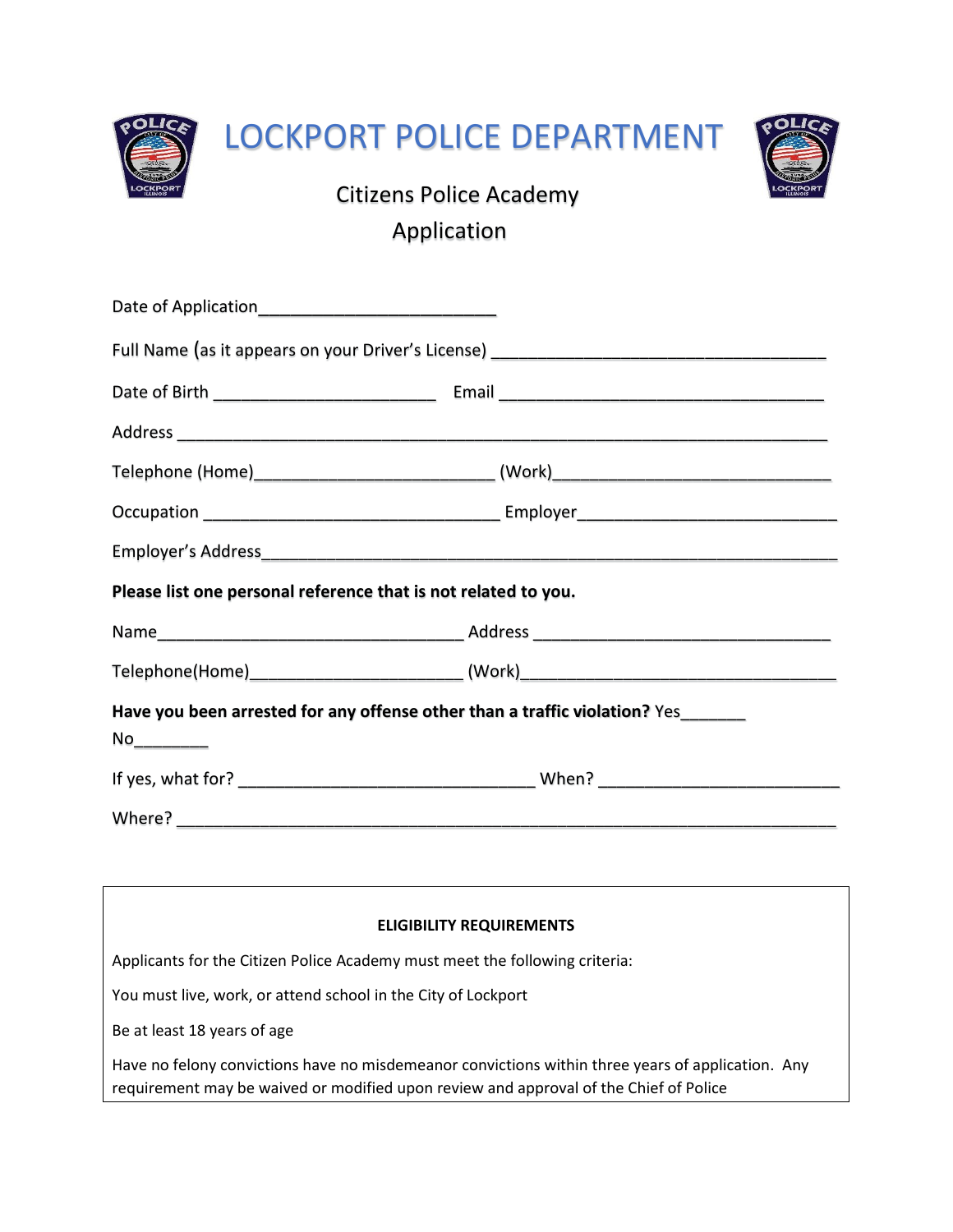

| Please list one personal reference that is not related to you. |                                                                                  |
|----------------------------------------------------------------|----------------------------------------------------------------------------------|
|                                                                |                                                                                  |
|                                                                | Telephone(Home)_____________________________(Work)______________________________ |
| No_________                                                    | Have you been arrested for any offense other than a traffic violation? Yes______ |
|                                                                |                                                                                  |
|                                                                |                                                                                  |

| <b>ELIGIBILITY REQUIREMENTS</b>                                                                                                                                                            |  |  |
|--------------------------------------------------------------------------------------------------------------------------------------------------------------------------------------------|--|--|
| Applicants for the Citizen Police Academy must meet the following criteria:                                                                                                                |  |  |
| You must live, work, or attend school in the City of Lockport                                                                                                                              |  |  |
| Be at least 18 years of age                                                                                                                                                                |  |  |
| Have no felony convictions have no misdemeanor convictions within three years of application. Any<br>requirement may be waived or modified upon review and approval of the Chief of Police |  |  |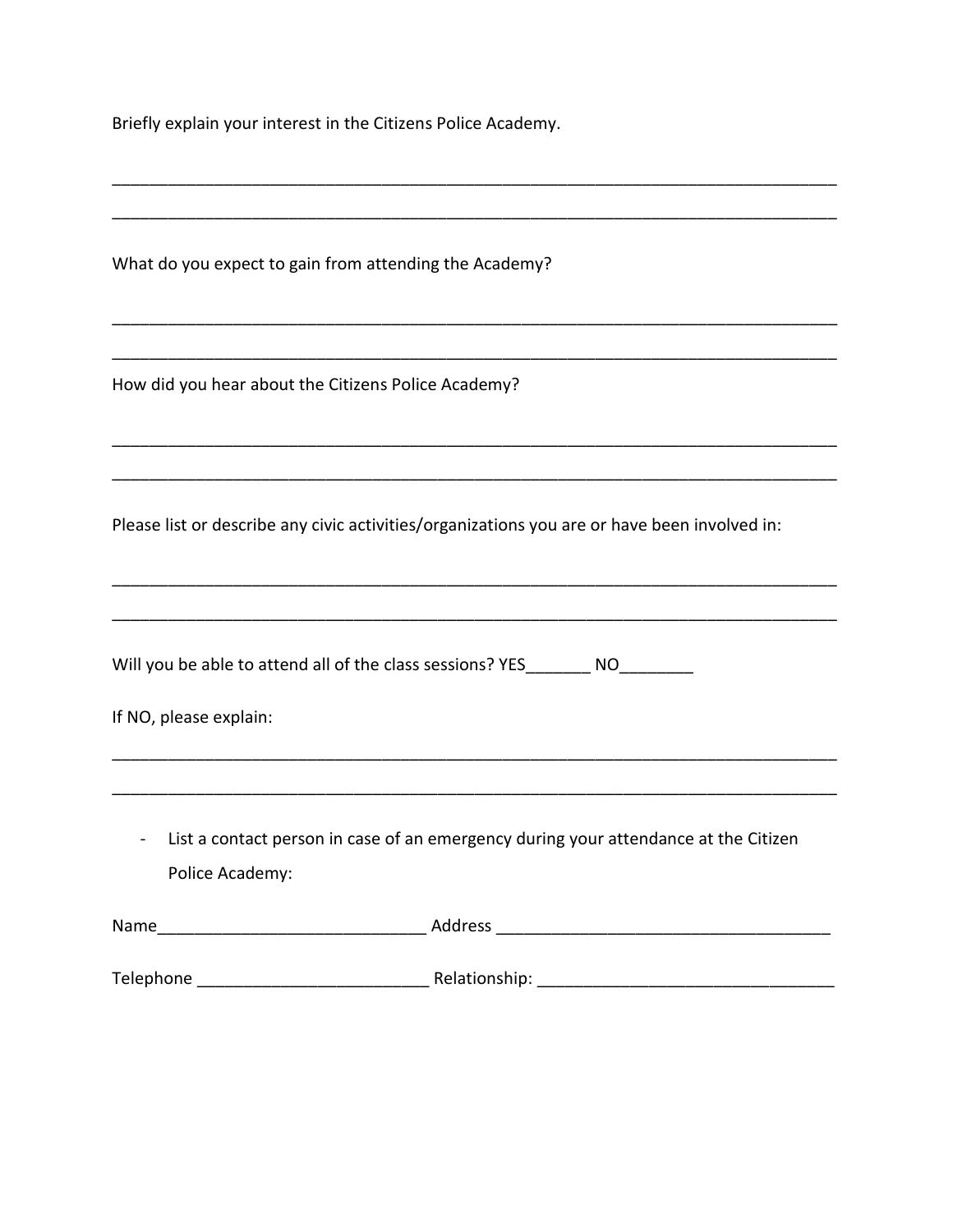Briefly explain your interest in the Citizens Police Academy.

| What do you expect to gain from attending the Academy?                                                 |
|--------------------------------------------------------------------------------------------------------|
|                                                                                                        |
| How did you hear about the Citizens Police Academy?                                                    |
|                                                                                                        |
| Please list or describe any civic activities/organizations you are or have been involved in:           |
|                                                                                                        |
| Will you be able to attend all of the class sessions? YES_________ NO_________                         |
| If NO, please explain:                                                                                 |
|                                                                                                        |
| List a contact person in case of an emergency during your attendance at the Citizen<br>Police Academy: |
|                                                                                                        |
|                                                                                                        |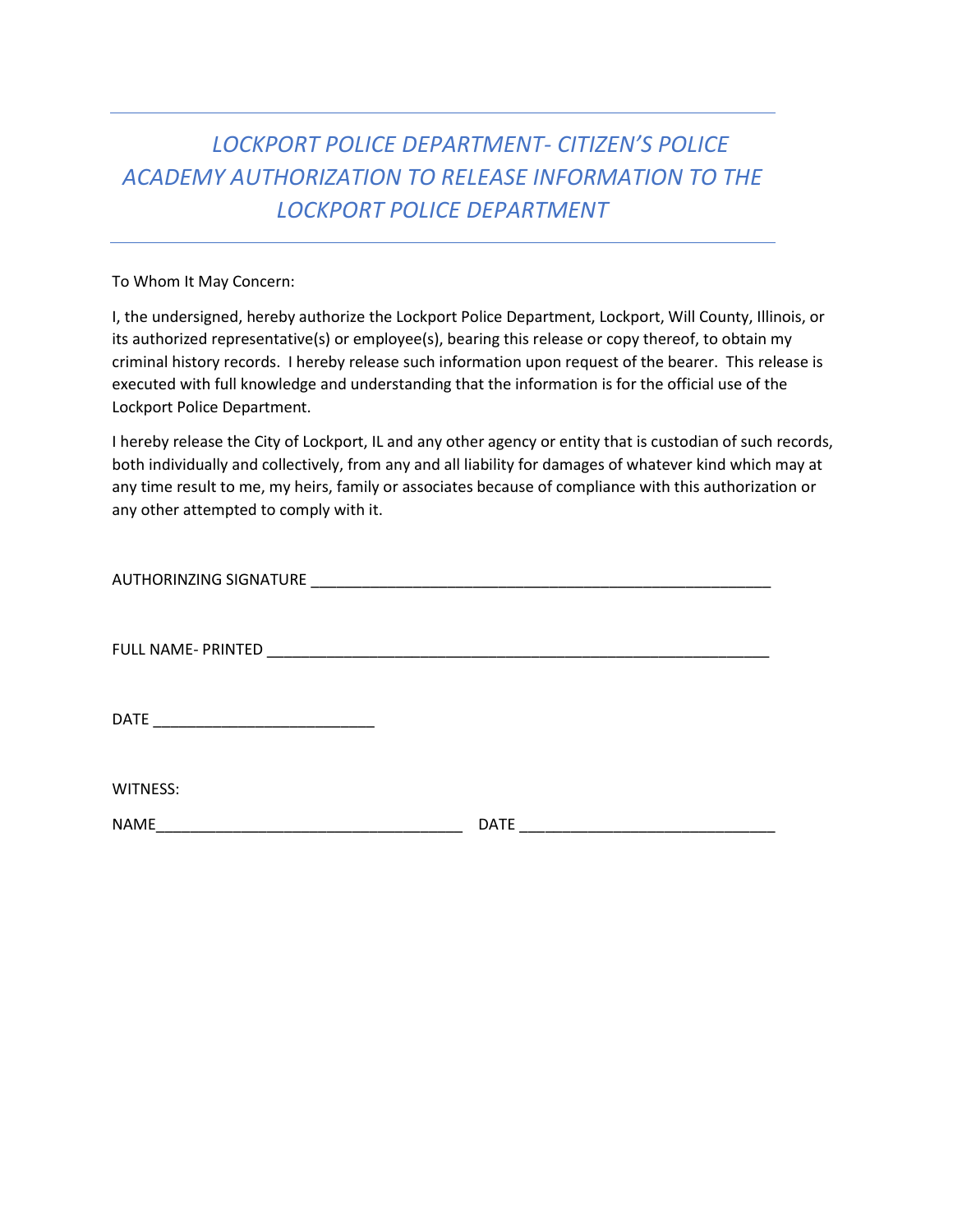## *LOCKPORT POLICE DEPARTMENT- CITIZEN'S POLICE ACADEMY AUTHORIZATION TO RELEASE INFORMATION TO THE LOCKPORT POLICE DEPARTMENT*

## To Whom It May Concern:

I, the undersigned, hereby authorize the Lockport Police Department, Lockport, Will County, Illinois, or its authorized representative(s) or employee(s), bearing this release or copy thereof, to obtain my criminal history records. I hereby release such information upon request of the bearer. This release is executed with full knowledge and understanding that the information is for the official use of the Lockport Police Department.

I hereby release the City of Lockport, IL and any other agency or entity that is custodian of such records, both individually and collectively, from any and all liability for damages of whatever kind which may at any time result to me, my heirs, family or associates because of compliance with this authorization or any other attempted to comply with it.

| <b>AUTHORINZING SIGNATURE</b> |  |
|-------------------------------|--|
|-------------------------------|--|

FULL NAME- PRINTED \_\_\_\_\_\_\_\_\_\_\_\_\_\_\_\_\_\_\_\_\_\_\_\_\_\_\_\_\_\_\_\_\_\_\_\_\_\_\_\_\_\_\_\_\_\_\_\_\_\_\_\_\_\_\_\_\_\_\_

DATE \_\_\_\_\_\_\_\_\_\_\_\_\_\_\_\_\_\_\_\_\_\_\_\_\_\_

WITNESS:

NAME\_\_\_\_\_\_\_\_\_\_\_\_\_\_\_\_\_\_\_\_\_\_\_\_\_\_\_\_\_\_\_\_\_\_\_\_ DATE \_\_\_\_\_\_\_\_\_\_\_\_\_\_\_\_\_\_\_\_\_\_\_\_\_\_\_\_\_\_